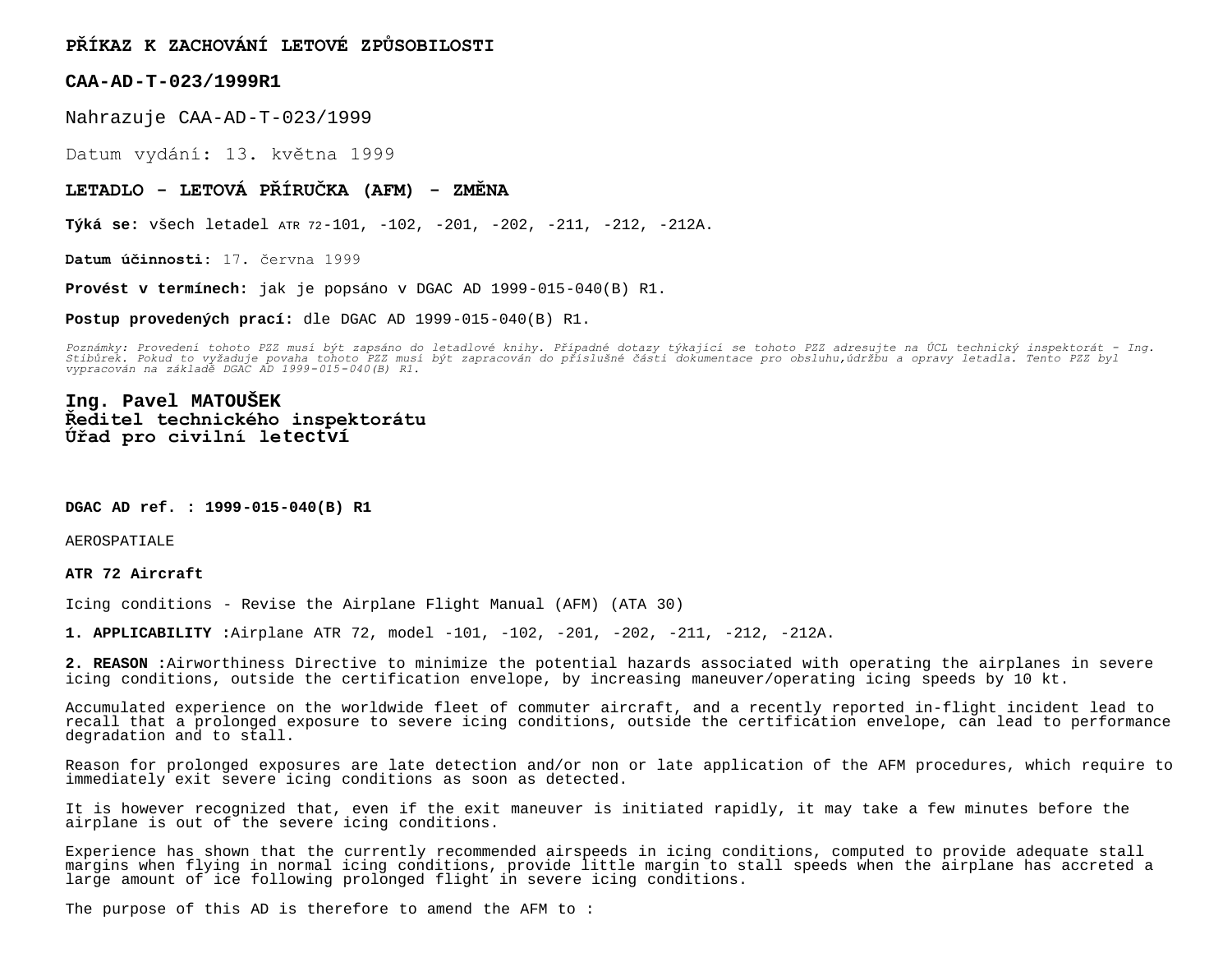# **PŘÍKAZ K ZACHOVÁNÍ LETOVÉ ZPŮSOBILOSTI**

## **CAA-AD-T-023/1999R1**

Nahrazuje CAA-AD-T-023/1999

Datum vydání: 13. května 1999

## **LETADLO - LETOVÁ PŘÍRUČKA (AFM) - ZMĚNA**

**Týká se:** všech letadel ATR 72-101, -102, -201, -202, -211, -212, -212A.

**Datum účinnosti:** 17. června 1999

**Provést v termínech:** jak je popsáno v DGAC AD 1999-015-040(B) R1.

**Postup provedených prací:** dle DGAC AD 1999-015-040(B) R1.

*Poznámky: Provedení tohoto PZZ musí být zapsáno do letadlové knihy. Případné dotazy týkající se tohoto PZZ adresujte na ÚCL technický inspektorát - Ing. Stibůrek. Pokud to vyžaduje povaha tohoto PZZ musí být zapracován do příslušné části dokumentace pro obsluhu,údržbu a opravy letadla. Tento PZZ byl vypracován na základě DGAC AD 1999-015-040(B) R1.*

## **Ing. Pavel MATOUŠEK Ředitel technického inspektorátu Úřad pro civilní letectví**

**DGAC AD ref. : 1999-015-040(B) R1**

AEROSPATIALE

## **ATR 72 Aircraft**

Icing conditions - Revise the Airplane Flight Manual (AFM) (ATA 30)

**1. APPLICABILITY :**Airplane ATR 72, model -101, -102, -201, -202, -211, -212, -212A.

**2. REASON :**Airworthiness Directive to minimize the potential hazards associated with operating the airplanes in severe icing conditions, outside the certification envelope, by increasing maneuver/operating icing speeds by 10 kt.

Accumulated experience on the worldwide fleet of commuter aircraft, and a recently reported in-flight incident lead to recall that a prolonged exposure to severe icing conditions, outside the certification envelope, can lead to performance degradation and to stall.

Reason for prolonged exposures are late detection and/or non or late application of the AFM procedures, which require to immediately exit severe icing conditions as soon as detected.

It is however recognized that, even if the exit maneuver is initiated rapidly, it may take a few minutes before the airplane is out of the severe icing conditions.

Experience has shown that the currently recommended airspeeds in icing conditions, computed to provide adequate stall margins when flying in normal icing conditions, provide little margin to stall speeds when the airplane has accreted a large amount of ice following prolonged flight in severe icing conditions.

The purpose of this AD is therefore to amend the AFM to :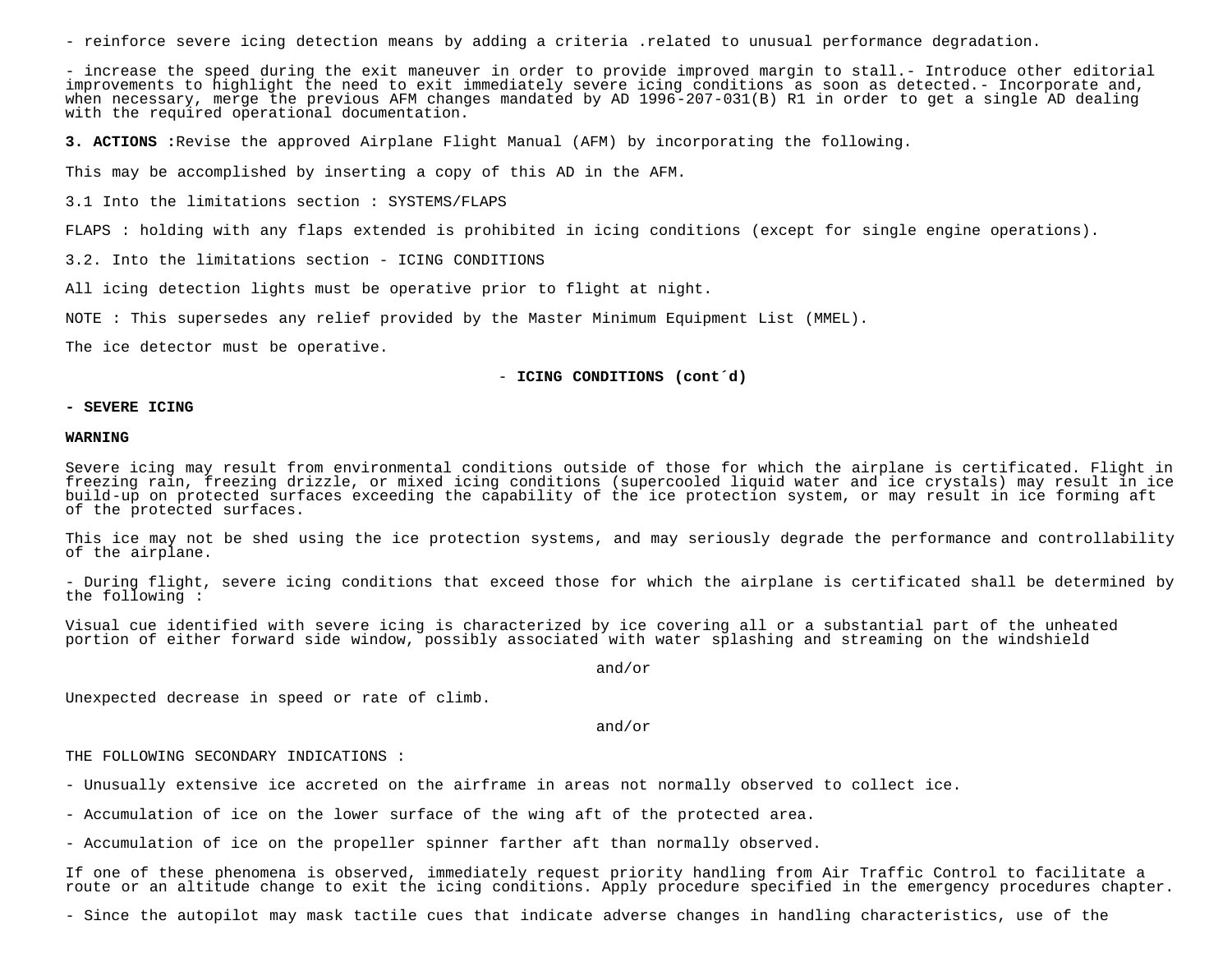- reinforce severe icing detection means by adding a criteria .related to unusual performance degradation.

- increase the speed during the exit maneuver in order to provide improved margin to stall.- Introduce other editorial improvements to highlight the need to exit immediately severe icing conditions as soon as detected.- Incorporate and, when necessary, merge the previous AFM changes mandated by AD 1996-207-031(B) R1 in order to get a single AD dealing with the required operational documentation.

**3. ACTIONS :**Revise the approved Airplane Flight Manual (AFM) by incorporating the following.

This may be accomplished by inserting a copy of this AD in the AFM.

3.1 Into the limitations section : SYSTEMS/FLAPS

FLAPS : holding with any flaps extended is prohibited in icing conditions (except for single engine operations).

3.2. Into the limitations section - ICING CONDITIONS

All icing detection lights must be operative prior to flight at night.

NOTE : This supersedes any relief provided by the Master Minimum Equipment List (MMEL).

The ice detector must be operative.

### - **ICING CONDITIONS (cont´d)**

### **- SEVERE ICING**

#### **WARNING**

Severe icing may result from environmental conditions outside of those for which the airplane is certificated. Flight in freezing rain, freezing drizzle, or mixed icing conditions (supercooled liquid water and ice crystals) may result in ice build-up on protected surfaces exceeding the capability of the ice protection system, or may result in ice forming aft of the protected surfaces.

This ice may not be shed using the ice protection systems, and may seriously degrade the performance and controllability of the airplane.

- During flight, severe icing conditions that exceed those for which the airplane is certificated shall be determined by the following :

Visual cue identified with severe icing is characterized by ice covering all or a substantial part of the unheated portion of either forward side window, possibly associated with water splashing and streaming on the windshield

and/or

Unexpected decrease in speed or rate of climb.

and/or

## THE FOLLOWING SECONDARY INDICATIONS :

- Unusually extensive ice accreted on the airframe in areas not normally observed to collect ice.
- Accumulation of ice on the lower surface of the wing aft of the protected area.
- Accumulation of ice on the propeller spinner farther aft than normally observed.

If one of these phenomena is observed, immediately request priority handling from Air Traffic Control to facilitate a route or an altitude change to exit the icing conditions. Apply procedure specified in the emergency procedures chapter.

- Since the autopilot may mask tactile cues that indicate adverse changes in handling characteristics, use of the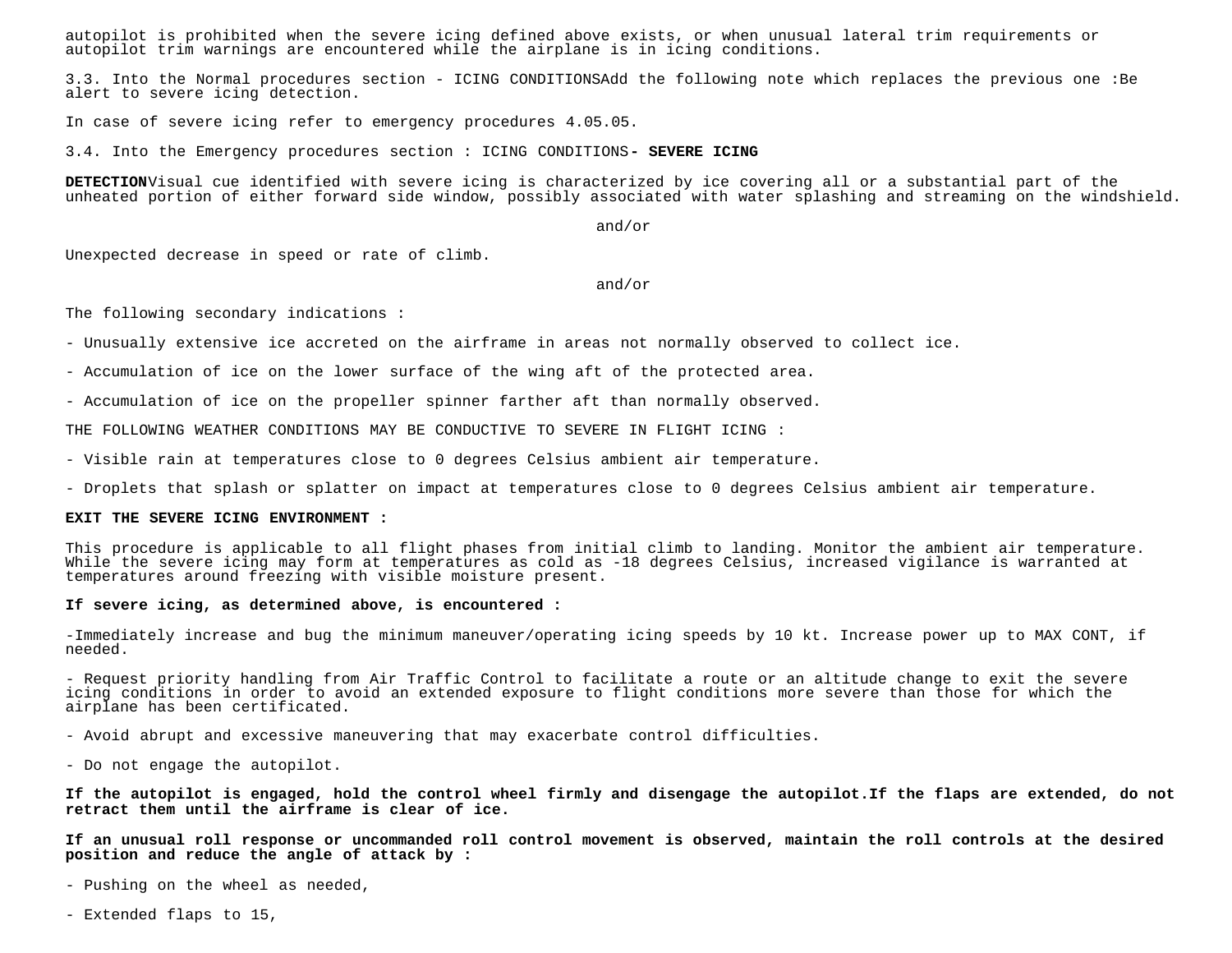autopilot is prohibited when the severe icing defined above exists, or when unusual lateral trim requirements or autopilot trim warnings are encountered while the airplane is in icing conditions.

3.3. Into the Normal procedures section - ICING CONDITIONSAdd the following note which replaces the previous one :Be alert to severe icing detection.

In case of severe icing refer to emergency procedures 4.05.05.

3.4. Into the Emergency procedures section : ICING CONDITIONS**- SEVERE ICING**

**DETECTION**Visual cue identified with severe icing is characterized by ice covering all or a substantial part of the unheated portion of either forward side window, possibly associated with water splashing and streaming on the windshield.

and/or

Unexpected decrease in speed or rate of climb.

and/or

The following secondary indications :

- Unusually extensive ice accreted on the airframe in areas not normally observed to collect ice.

- Accumulation of ice on the lower surface of the wing aft of the protected area.

- Accumulation of ice on the propeller spinner farther aft than normally observed.

THE FOLLOWING WEATHER CONDITIONS MAY BE CONDUCTIVE TO SEVERE IN FLIGHT ICING :

- Visible rain at temperatures close to 0 degrees Celsius ambient air temperature.

- Droplets that splash or splatter on impact at temperatures close to 0 degrees Celsius ambient air temperature.

## **EXIT THE SEVERE ICING ENVIRONMENT :**

This procedure is applicable to all flight phases from initial climb to landing. Monitor the ambient air temperature. While the severe icing may form at temperatures as cold as -18 degrees Celsius, increased vigilance is warranted at temperatures around freezing with visible moisture present.

## **If severe icing, as determined above, is encountered :**

-Immediately increase and bug the minimum maneuver/operating icing speeds by 10 kt. Increase power up to MAX CONT, if needed.

- Request priority handling from Air Traffic Control to facilitate a route or an altitude change to exit the severe icing conditions in order to avoid an extended exposure to flight conditions more severe than those for which the airplane has been certificated.

- Avoid abrupt and excessive maneuvering that may exacerbate control difficulties.

- Do not engage the autopilot.

**If the autopilot is engaged, hold the control wheel firmly and disengage the autopilot.If the flaps are extended, do not retract them until the airframe is clear of ice.**

**If an unusual roll response or uncommanded roll control movement is observed, maintain the roll controls at the desired position and reduce the angle of attack by :**

- Pushing on the wheel as needed,

- Extended flaps to 15,